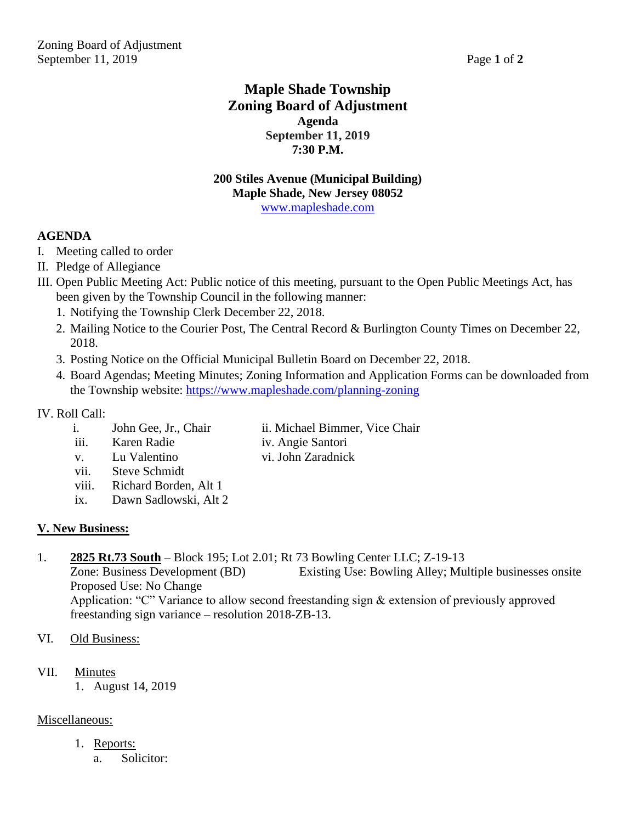## **Maple Shade Township Zoning Board of Adjustment Agenda September 11, 2019 7:30 P.M.**

#### **200 Stiles Avenue (Municipal Building) Maple Shade, New Jersey 08052** [www.mapleshade.com](http://www.mapleshade.com/)

#### **AGENDA**

- I. Meeting called to order
- II. Pledge of Allegiance
- III. Open Public Meeting Act: Public notice of this meeting, pursuant to the Open Public Meetings Act, has been given by the Township Council in the following manner:
	- 1. Notifying the Township Clerk December 22, 2018.
	- 2. Mailing Notice to the Courier Post, The Central Record & Burlington County Times on December 22, 2018.
	- 3. Posting Notice on the Official Municipal Bulletin Board on December 22, 2018.
	- 4. Board Agendas; Meeting Minutes; Zoning Information and Application Forms can be downloaded from the Township website:<https://www.mapleshade.com/planning-zoning>

#### IV. Roll Call:

- i. John Gee, Jr., Chair ii. Michael Bimmer, Vice Chair
- iii. Karen Radie iv. Angie Santori
	-
- v. Lu Valentino vi. John Zaradnick
	- vii. Steve Schmidt
	- viii. Richard Borden, Alt 1
	- ix. Dawn Sadlowski, Alt 2

### **V. New Business:**

1. **2825 Rt.73 South** – Block 195; Lot 2.01; Rt 73 Bowling Center LLC; Z-19-13

Zone: Business Development (BD) Existing Use: Bowling Alley; Multiple businesses onsite Proposed Use: No Change Application: "C" Variance to allow second freestanding sign & extension of previously approved freestanding sign variance – resolution 2018-ZB-13.

- VI. Old Business:
- VII. Minutes
	- 1. August 14, 2019

#### Miscellaneous:

- 1. Reports:
	- a. Solicitor: